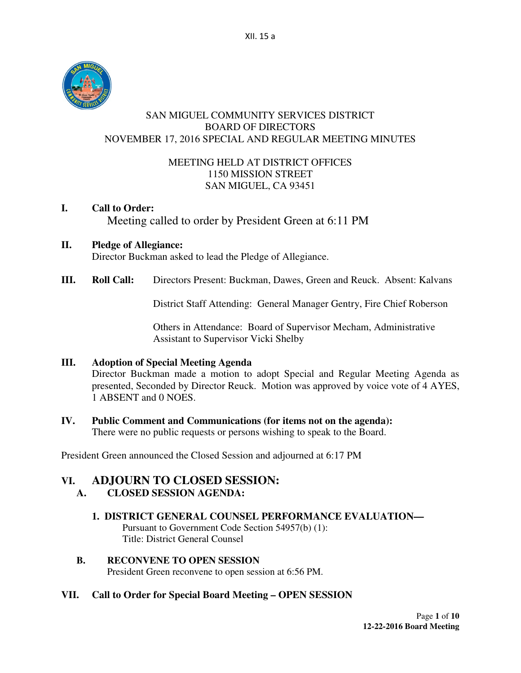

## SAN MIGUEL COMMUNITY SERVICES DISTRICT BOARD OF DIRECTORS NOVEMBER 17, 2016 SPECIAL AND REGULAR MEETING MINUTES

## MEETING HELD AT DISTRICT OFFICES 1150 MISSION STREET SAN MIGUEL, CA 93451

# **I. Call to Order:**  Meeting called to order by President Green at 6:11 PM

# **II. Pledge of Allegiance:**

Director Buckman asked to lead the Pledge of Allegiance.

**III. Roll Call:** Directors Present: Buckman, Dawes, Green and Reuck. Absent: Kalvans

District Staff Attending:General Manager Gentry, Fire Chief Roberson

 Others in Attendance: Board of Supervisor Mecham, Administrative Assistant to Supervisor Vicki Shelby

# **III. Adoption of Special Meeting Agenda**

Director Buckman made a motion to adopt Special and Regular Meeting Agenda as presented, Seconded by Director Reuck. Motion was approved by voice vote of 4 AYES, 1 ABSENT and 0 NOES.

#### **IV. Public Comment and Communications (for items not on the agenda):**

There were no public requests or persons wishing to speak to the Board.

President Green announced the Closed Session and adjourned at 6:17 PM

# **VI. ADJOURN TO CLOSED SESSION:**

# **A. CLOSED SESSION AGENDA:**

#### **1. DISTRICT GENERAL COUNSEL PERFORMANCE EVALUATION—**

 Pursuant to Government Code Section 54957(b) (1): Title: District General Counsel

## **B. RECONVENE TO OPEN SESSION**  President Green reconvene to open session at 6:56 PM.

#### **VII. Call to Order for Special Board Meeting – OPEN SESSION**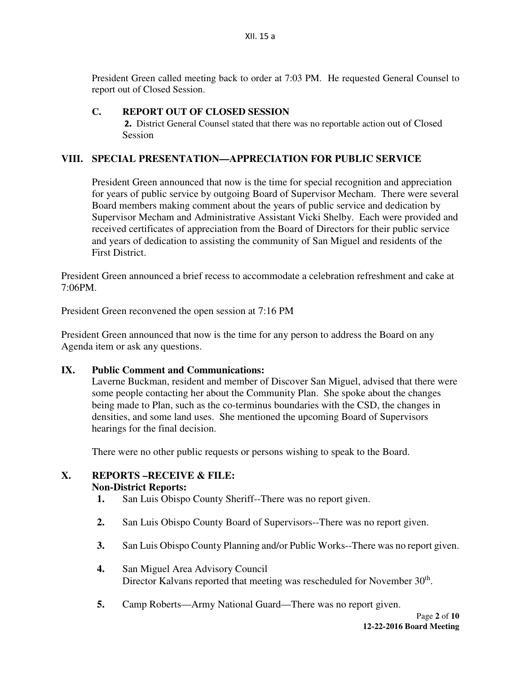President Green called meeting back to order at 7:03 PM. He requested General Counsel to report out of Closed Session.

## **C. REPORT OUT OF CLOSED SESSION**

2**.** District General Counsel stated that there was no reportable action out of Closed Session

## **VIII. SPECIAL PRESENTATION—APPRECIATION FOR PUBLIC SERVICE**

President Green announced that now is the time for special recognition and appreciation for years of public service by outgoing Board of Supervisor Mecham. There were several Board members making comment about the years of public service and dedication by Supervisor Mecham and Administrative Assistant Vicki Shelby. Each were provided and received certificates of appreciation from the Board of Directors for their public service and years of dedication to assisting the community of San Miguel and residents of the First District.

President Green announced a brief recess to accommodate a celebration refreshment and cake at 7:06PM.

President Green reconvened the open session at 7:16 PM

President Green announced that now is the time for any person to address the Board on any Agenda item or ask any questions.

**IX. Public Comment and Communications:** 

Laverne Buckman, resident and member of Discover San Miguel, advised that there were some people contacting her about the Community Plan. She spoke about the changes being made to Plan, such as the co-terminus boundaries with the CSD, the changes in densities, and some land uses. She mentioned the upcoming Board of Supervisors hearings for the final decision.

There were no other public requests or persons wishing to speak to the Board.

# **X. REPORTS –RECEIVE & FILE:**

#### **Non-District Reports:**

- **1.** San Luis Obispo County Sheriff--There was no report given.
- **2.** San Luis Obispo County Board of Supervisors--There was no report given.
- **3.** San Luis Obispo County Planning and/or Public Works--There was no report given.
- **4.** San Miguel Area Advisory Council Director Kalvans reported that meeting was rescheduled for November 30<sup>th</sup>.
- **5.** Camp Roberts—Army National Guard—There was no report given.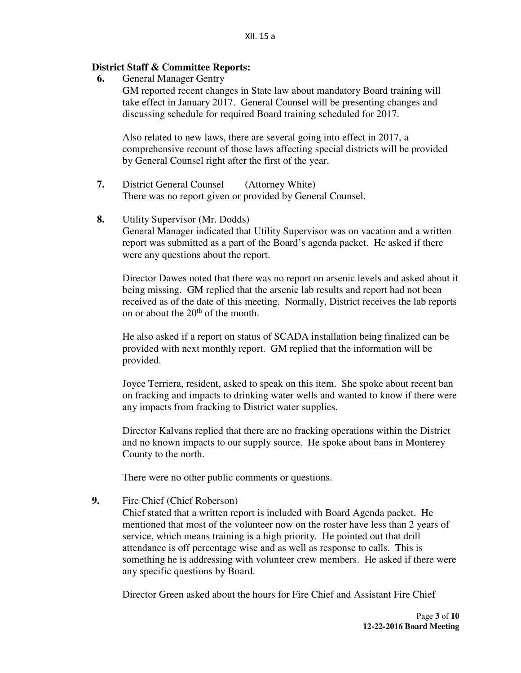## **District Staff & Committee Reports:**

 **6.** General Manager Gentry

GM reported recent changes in State law about mandatory Board training will take effect in January 2017. General Counsel will be presenting changes and discussing schedule for required Board training scheduled for 2017.

Also related to new laws, there are several going into effect in 2017, a comprehensive recount of those laws affecting special districts will be provided by General Counsel right after the first of the year.

- **7.** District General Counsel (Attorney White) There was no report given or provided by General Counsel.
- **8.** Utility Supervisor (Mr. Dodds)

General Manager indicated that Utility Supervisor was on vacation and a written report was submitted as a part of the Board's agenda packet. He asked if there were any questions about the report.

Director Dawes noted that there was no report on arsenic levels and asked about it being missing. GM replied that the arsenic lab results and report had not been received as of the date of this meeting. Normally, District receives the lab reports on or about the  $20<sup>th</sup>$  of the month.

He also asked if a report on status of SCADA installation being finalized can be provided with next monthly report. GM replied that the information will be provided.

Joyce Terriera, resident, asked to speak on this item. She spoke about recent ban on fracking and impacts to drinking water wells and wanted to know if there were any impacts from fracking to District water supplies.

Director Kalvans replied that there are no fracking operations within the District and no known impacts to our supply source. He spoke about bans in Monterey County to the north.

There were no other public comments or questions.

**9.** Fire Chief (Chief Roberson)

Chief stated that a written report is included with Board Agenda packet. He mentioned that most of the volunteer now on the roster have less than 2 years of service, which means training is a high priority. He pointed out that drill attendance is off percentage wise and as well as response to calls. This is something he is addressing with volunteer crew members. He asked if there were any specific questions by Board.

Director Green asked about the hours for Fire Chief and Assistant Fire Chief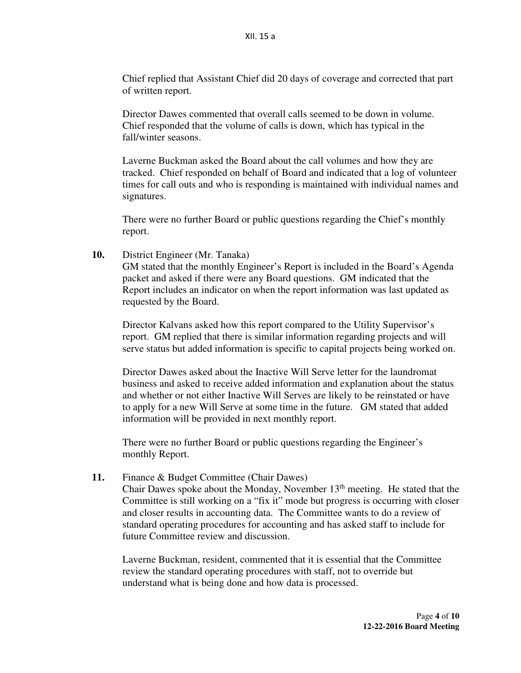Chief replied that Assistant Chief did 20 days of coverage and corrected that part of written report.

Director Dawes commented that overall calls seemed to be down in volume. Chief responded that the volume of calls is down, which has typical in the fall/winter seasons.

Laverne Buckman asked the Board about the call volumes and how they are tracked. Chief responded on behalf of Board and indicated that a log of volunteer times for call outs and who is responding is maintained with individual names and signatures.

There were no further Board or public questions regarding the Chief's monthly report.

**10.** District Engineer (Mr. Tanaka)

GM stated that the monthly Engineer's Report is included in the Board's Agenda packet and asked if there were any Board questions. GM indicated that the Report includes an indicator on when the report information was last updated as requested by the Board.

Director Kalvans asked how this report compared to the Utility Supervisor's report. GM replied that there is similar information regarding projects and will serve status but added information is specific to capital projects being worked on.

Director Dawes asked about the Inactive Will Serve letter for the laundromat business and asked to receive added information and explanation about the status and whether or not either Inactive Will Serves are likely to be reinstated or have to apply for a new Will Serve at some time in the future. GM stated that added information will be provided in next monthly report.

There were no further Board or public questions regarding the Engineer's monthly Report.

**11.** Finance & Budget Committee (Chair Dawes)

Chair Dawes spoke about the Monday, November  $13<sup>th</sup>$  meeting. He stated that the Committee is still working on a "fix it" mode but progress is occurring with closer and closer results in accounting data. The Committee wants to do a review of standard operating procedures for accounting and has asked staff to include for future Committee review and discussion.

Laverne Buckman, resident, commented that it is essential that the Committee review the standard operating procedures with staff, not to override but understand what is being done and how data is processed.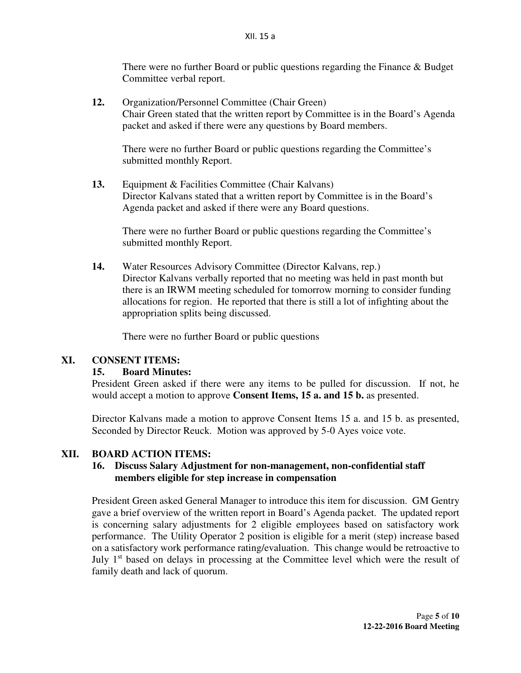There were no further Board or public questions regarding the Finance & Budget Committee verbal report.

**12.** Organization/Personnel Committee (Chair Green) Chair Green stated that the written report by Committee is in the Board's Agenda packet and asked if there were any questions by Board members.

There were no further Board or public questions regarding the Committee's submitted monthly Report.

**13.** Equipment & Facilities Committee (Chair Kalvans) Director Kalvans stated that a written report by Committee is in the Board's Agenda packet and asked if there were any Board questions.

There were no further Board or public questions regarding the Committee's submitted monthly Report.

**14.** Water Resources Advisory Committee (Director Kalvans, rep.) Director Kalvans verbally reported that no meeting was held in past month but there is an IRWM meeting scheduled for tomorrow morning to consider funding allocations for region. He reported that there is still a lot of infighting about the appropriation splits being discussed.

There were no further Board or public questions

# **XI. CONSENT ITEMS:**

#### **15. Board Minutes:**

President Green asked if there were any items to be pulled for discussion. If not, he would accept a motion to approve **Consent Items, 15 a. and 15 b.** as presented.

Director Kalvans made a motion to approve Consent Items 15 a. and 15 b. as presented, Seconded by Director Reuck. Motion was approved by 5-0 Ayes voice vote.

#### **XII. BOARD ACTION ITEMS:**

## **16. Discuss Salary Adjustment for non-management, non-confidential staff members eligible for step increase in compensation**

President Green asked General Manager to introduce this item for discussion. GM Gentry gave a brief overview of the written report in Board's Agenda packet. The updated report is concerning salary adjustments for 2 eligible employees based on satisfactory work performance. The Utility Operator 2 position is eligible for a merit (step) increase based on a satisfactory work performance rating/evaluation. This change would be retroactive to July 1<sup>st</sup> based on delays in processing at the Committee level which were the result of family death and lack of quorum.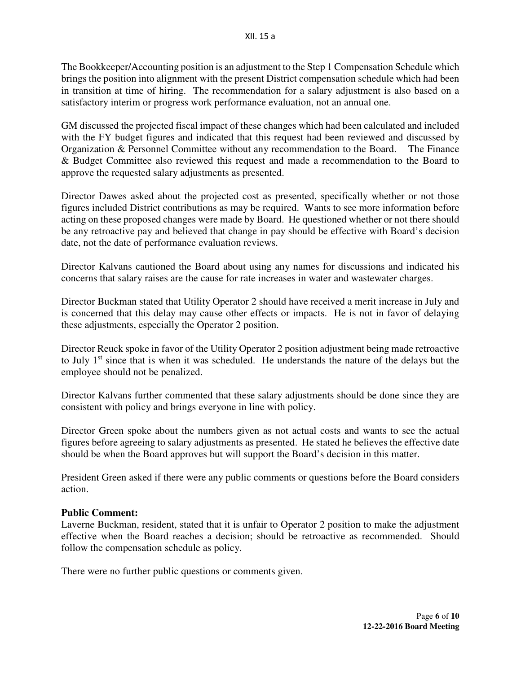The Bookkeeper/Accounting position is an adjustment to the Step 1 Compensation Schedule which brings the position into alignment with the present District compensation schedule which had been in transition at time of hiring. The recommendation for a salary adjustment is also based on a satisfactory interim or progress work performance evaluation, not an annual one.

GM discussed the projected fiscal impact of these changes which had been calculated and included with the FY budget figures and indicated that this request had been reviewed and discussed by Organization & Personnel Committee without any recommendation to the Board. The Finance & Budget Committee also reviewed this request and made a recommendation to the Board to approve the requested salary adjustments as presented.

Director Dawes asked about the projected cost as presented, specifically whether or not those figures included District contributions as may be required. Wants to see more information before acting on these proposed changes were made by Board. He questioned whether or not there should be any retroactive pay and believed that change in pay should be effective with Board's decision date, not the date of performance evaluation reviews.

Director Kalvans cautioned the Board about using any names for discussions and indicated his concerns that salary raises are the cause for rate increases in water and wastewater charges.

Director Buckman stated that Utility Operator 2 should have received a merit increase in July and is concerned that this delay may cause other effects or impacts. He is not in favor of delaying these adjustments, especially the Operator 2 position.

Director Reuck spoke in favor of the Utility Operator 2 position adjustment being made retroactive to July 1<sup>st</sup> since that is when it was scheduled. He understands the nature of the delays but the employee should not be penalized.

Director Kalvans further commented that these salary adjustments should be done since they are consistent with policy and brings everyone in line with policy.

Director Green spoke about the numbers given as not actual costs and wants to see the actual figures before agreeing to salary adjustments as presented. He stated he believes the effective date should be when the Board approves but will support the Board's decision in this matter.

President Green asked if there were any public comments or questions before the Board considers action.

#### **Public Comment:**

Laverne Buckman, resident, stated that it is unfair to Operator 2 position to make the adjustment effective when the Board reaches a decision; should be retroactive as recommended. Should follow the compensation schedule as policy.

There were no further public questions or comments given.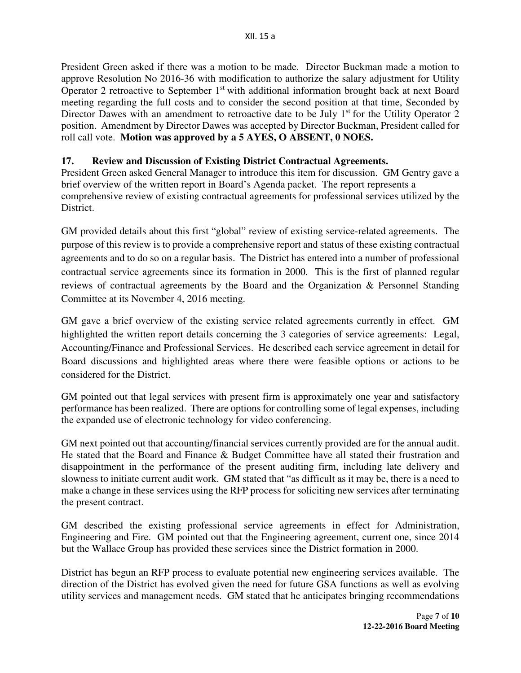President Green asked if there was a motion to be made. Director Buckman made a motion to approve Resolution No 2016-36 with modification to authorize the salary adjustment for Utility Operator 2 retroactive to September 1<sup>st</sup> with additional information brought back at next Board meeting regarding the full costs and to consider the second position at that time, Seconded by Director Dawes with an amendment to retroactive date to be July  $1<sup>st</sup>$  for the Utility Operator 2 position. Amendment by Director Dawes was accepted by Director Buckman, President called for roll call vote. **Motion was approved by a 5 AYES, O ABSENT, 0 NOES.**

# **17. Review and Discussion of Existing District Contractual Agreements.**

President Green asked General Manager to introduce this item for discussion. GM Gentry gave a brief overview of the written report in Board's Agenda packet. The report represents a comprehensive review of existing contractual agreements for professional services utilized by the District.

GM provided details about this first "global" review of existing service-related agreements. The purpose of this review is to provide a comprehensive report and status of these existing contractual agreements and to do so on a regular basis. The District has entered into a number of professional contractual service agreements since its formation in 2000. This is the first of planned regular reviews of contractual agreements by the Board and the Organization & Personnel Standing Committee at its November 4, 2016 meeting.

GM gave a brief overview of the existing service related agreements currently in effect. GM highlighted the written report details concerning the 3 categories of service agreements: Legal, Accounting/Finance and Professional Services. He described each service agreement in detail for Board discussions and highlighted areas where there were feasible options or actions to be considered for the District.

GM pointed out that legal services with present firm is approximately one year and satisfactory performance has been realized. There are options for controlling some of legal expenses, including the expanded use of electronic technology for video conferencing.

GM next pointed out that accounting/financial services currently provided are for the annual audit. He stated that the Board and Finance & Budget Committee have all stated their frustration and disappointment in the performance of the present auditing firm, including late delivery and slowness to initiate current audit work. GM stated that "as difficult as it may be, there is a need to make a change in these services using the RFP process for soliciting new services after terminating the present contract.

GM described the existing professional service agreements in effect for Administration, Engineering and Fire. GM pointed out that the Engineering agreement, current one, since 2014 but the Wallace Group has provided these services since the District formation in 2000.

District has begun an RFP process to evaluate potential new engineering services available. The direction of the District has evolved given the need for future GSA functions as well as evolving utility services and management needs. GM stated that he anticipates bringing recommendations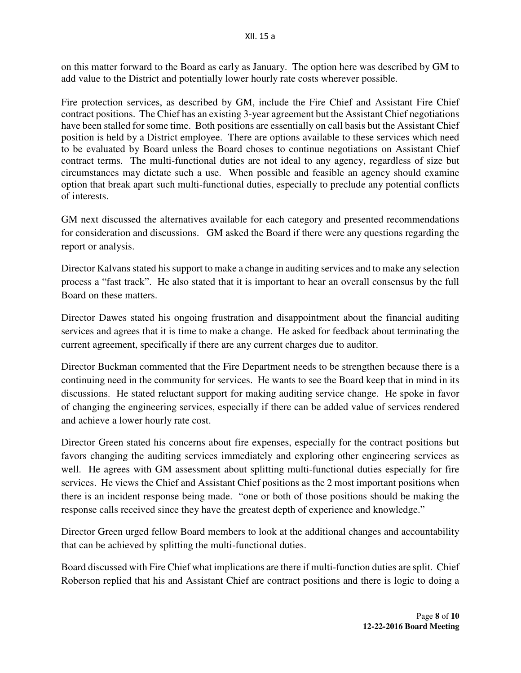on this matter forward to the Board as early as January. The option here was described by GM to add value to the District and potentially lower hourly rate costs wherever possible.

Fire protection services, as described by GM, include the Fire Chief and Assistant Fire Chief contract positions. The Chief has an existing 3-year agreement but the Assistant Chief negotiations have been stalled for some time. Both positions are essentially on call basis but the Assistant Chief position is held by a District employee. There are options available to these services which need to be evaluated by Board unless the Board choses to continue negotiations on Assistant Chief contract terms. The multi-functional duties are not ideal to any agency, regardless of size but circumstances may dictate such a use. When possible and feasible an agency should examine option that break apart such multi-functional duties, especially to preclude any potential conflicts of interests.

GM next discussed the alternatives available for each category and presented recommendations for consideration and discussions. GM asked the Board if there were any questions regarding the report or analysis.

Director Kalvans stated his support to make a change in auditing services and to make any selection process a "fast track". He also stated that it is important to hear an overall consensus by the full Board on these matters.

Director Dawes stated his ongoing frustration and disappointment about the financial auditing services and agrees that it is time to make a change. He asked for feedback about terminating the current agreement, specifically if there are any current charges due to auditor.

Director Buckman commented that the Fire Department needs to be strengthen because there is a continuing need in the community for services. He wants to see the Board keep that in mind in its discussions. He stated reluctant support for making auditing service change. He spoke in favor of changing the engineering services, especially if there can be added value of services rendered and achieve a lower hourly rate cost.

Director Green stated his concerns about fire expenses, especially for the contract positions but favors changing the auditing services immediately and exploring other engineering services as well. He agrees with GM assessment about splitting multi-functional duties especially for fire services. He views the Chief and Assistant Chief positions as the 2 most important positions when there is an incident response being made. "one or both of those positions should be making the response calls received since they have the greatest depth of experience and knowledge."

Director Green urged fellow Board members to look at the additional changes and accountability that can be achieved by splitting the multi-functional duties.

Board discussed with Fire Chief what implications are there if multi-function duties are split. Chief Roberson replied that his and Assistant Chief are contract positions and there is logic to doing a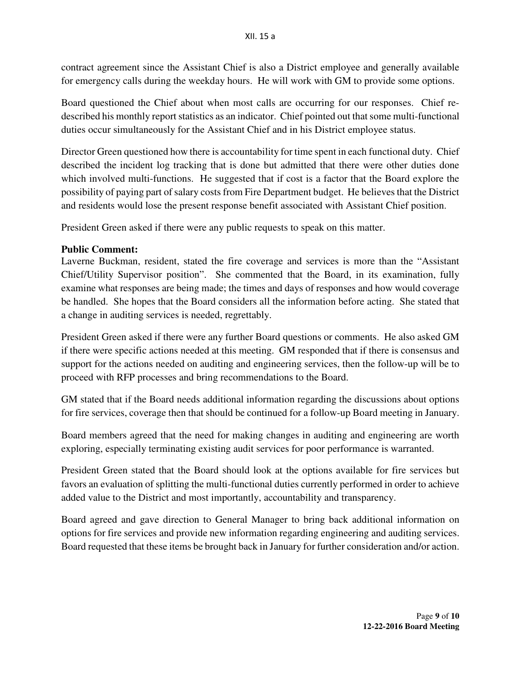contract agreement since the Assistant Chief is also a District employee and generally available for emergency calls during the weekday hours. He will work with GM to provide some options.

Board questioned the Chief about when most calls are occurring for our responses. Chief redescribed his monthly report statistics as an indicator. Chief pointed out that some multi-functional duties occur simultaneously for the Assistant Chief and in his District employee status.

Director Green questioned how there is accountability for time spent in each functional duty. Chief described the incident log tracking that is done but admitted that there were other duties done which involved multi-functions. He suggested that if cost is a factor that the Board explore the possibility of paying part of salary costs from Fire Department budget. He believes that the District and residents would lose the present response benefit associated with Assistant Chief position.

President Green asked if there were any public requests to speak on this matter.

## **Public Comment:**

Laverne Buckman, resident, stated the fire coverage and services is more than the "Assistant Chief/Utility Supervisor position". She commented that the Board, in its examination, fully examine what responses are being made; the times and days of responses and how would coverage be handled. She hopes that the Board considers all the information before acting. She stated that a change in auditing services is needed, regrettably.

President Green asked if there were any further Board questions or comments. He also asked GM if there were specific actions needed at this meeting. GM responded that if there is consensus and support for the actions needed on auditing and engineering services, then the follow-up will be to proceed with RFP processes and bring recommendations to the Board.

GM stated that if the Board needs additional information regarding the discussions about options for fire services, coverage then that should be continued for a follow-up Board meeting in January.

Board members agreed that the need for making changes in auditing and engineering are worth exploring, especially terminating existing audit services for poor performance is warranted.

President Green stated that the Board should look at the options available for fire services but favors an evaluation of splitting the multi-functional duties currently performed in order to achieve added value to the District and most importantly, accountability and transparency.

Board agreed and gave direction to General Manager to bring back additional information on options for fire services and provide new information regarding engineering and auditing services. Board requested that these items be brought back in January for further consideration and/or action.